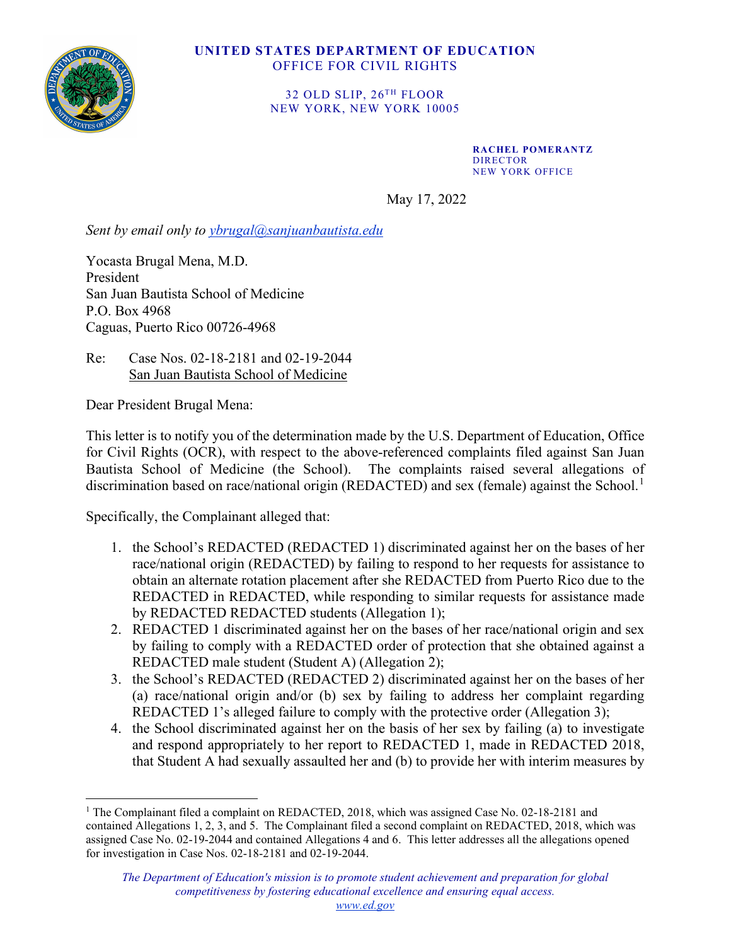

#### **UNITED STATES DEPARTMENT OF EDUCATION** OFFICE FOR CIVIL RIGHTS

32 OLD SLIP, 26<sup>TH</sup> FLOOR NEW YORK, NEW YORK 10005

> **RACHEL POMERANTZ** DIRECTOR NEW YORK OFFICE

May 17, 2022

*Sent by email only to [ybrugal@sanjuanbautista.edu](mailto:ybrugal@sanjuanbautista.edu)* 

Yocasta Brugal Mena, M.D. President San Juan Bautista School of Medicine P.O. Box 4968 Caguas, Puerto Rico 00726-4968

Re: Case Nos. 02-18-2181 and 02-19-2044 San Juan Bautista School of Medicine

Dear President Brugal Mena:

This letter is to notify you of the determination made by the U.S. Department of Education, Office for Civil Rights (OCR), with respect to the above-referenced complaints filed against San Juan Bautista School of Medicine (the School). The complaints raised several allegations of discrimination based on race/national origin (REDACTED) and sex (female) against the School.<sup>[1](#page-0-0)</sup>

Specifically, the Complainant alleged that:

- 1. the School's REDACTED (REDACTED 1) discriminated against her on the bases of her race/national origin (REDACTED) by failing to respond to her requests for assistance to obtain an alternate rotation placement after she REDACTED from Puerto Rico due to the REDACTED in REDACTED, while responding to similar requests for assistance made by REDACTED REDACTED students (Allegation 1);
- 2. REDACTED 1 discriminated against her on the bases of her race/national origin and sex by failing to comply with a REDACTED order of protection that she obtained against a REDACTED male student (Student A) (Allegation 2);
- 3. the School's REDACTED (REDACTED 2) discriminated against her on the bases of her (a) race/national origin and/or (b) sex by failing to address her complaint regarding REDACTED 1's alleged failure to comply with the protective order (Allegation 3);
- 4. the School discriminated against her on the basis of her sex by failing (a) to investigate and respond appropriately to her report to REDACTED 1, made in REDACTED 2018, that Student A had sexually assaulted her and (b) to provide her with interim measures by

<span id="page-0-0"></span><sup>&</sup>lt;sup>1</sup> The Complainant filed a complaint on REDACTED, 2018, which was assigned Case No. 02-18-2181 and contained Allegations 1, 2, 3, and 5. The Complainant filed a second complaint on REDACTED, 2018, which was assigned Case No. 02-19-2044 and contained Allegations 4 and 6. This letter addresses all the allegations opened for investigation in Case Nos. 02-18-2181 and 02-19-2044.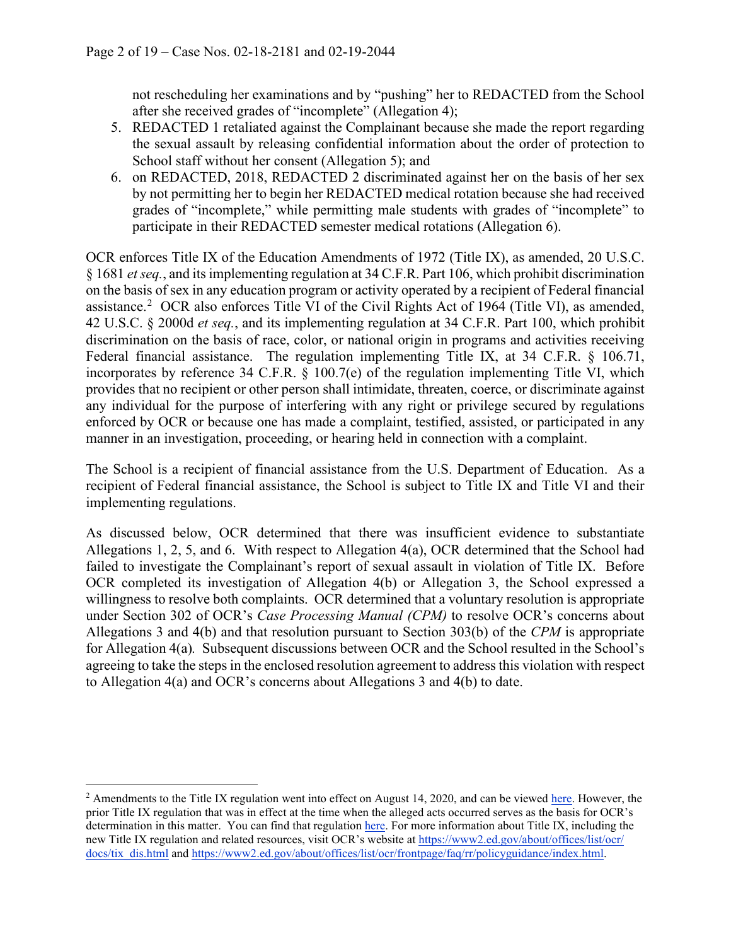not rescheduling her examinations and by "pushing" her to REDACTED from the School after she received grades of "incomplete" (Allegation 4);

- 5. REDACTED 1 retaliated against the Complainant because she made the report regarding the sexual assault by releasing confidential information about the order of protection to School staff without her consent (Allegation 5); and
- 6. on REDACTED, 2018, REDACTED 2 discriminated against her on the basis of her sex by not permitting her to begin her REDACTED medical rotation because she had received grades of "incomplete," while permitting male students with grades of "incomplete" to participate in their REDACTED semester medical rotations (Allegation 6).

OCR enforces Title IX of the Education Amendments of 1972 (Title IX), as amended, 20 U.S.C. § 1681 *et seq.*, and its implementing regulation at 34 C.F.R. Part 106, which prohibit discrimination on the basis of sex in any education program or activity operated by a recipient of Federal financial assistance.<sup>[2](#page-1-0)</sup> OCR also enforces Title VI of the Civil Rights Act of 1964 (Title VI), as amended, 42 U.S.C. § 2000d *et seq.*, and its implementing regulation at 34 C.F.R. Part 100, which prohibit discrimination on the basis of race, color, or national origin in programs and activities receiving Federal financial assistance. The regulation implementing Title IX, at 34 C.F.R. § 106.71, incorporates by reference 34 C.F.R. § 100.7(e) of the regulation implementing Title VI, which provides that no recipient or other person shall intimidate, threaten, coerce, or discriminate against any individual for the purpose of interfering with any right or privilege secured by regulations enforced by OCR or because one has made a complaint, testified, assisted, or participated in any manner in an investigation, proceeding, or hearing held in connection with a complaint.

The School is a recipient of financial assistance from the U.S. Department of Education. As a recipient of Federal financial assistance, the School is subject to Title IX and Title VI and their implementing regulations.

As discussed below, OCR determined that there was insufficient evidence to substantiate Allegations 1, 2, 5, and 6. With respect to Allegation 4(a), OCR determined that the School had failed to investigate the Complainant's report of sexual assault in violation of Title IX. Before OCR completed its investigation of Allegation 4(b) or Allegation 3, the School expressed a willingness to resolve both complaints. OCR determined that a voluntary resolution is appropriate under Section 302 of OCR's *Case Processing Manual (CPM)* to resolve OCR's concerns about Allegations 3 and 4(b) and that resolution pursuant to Section 303(b) of the *CPM* is appropriate for Allegation 4(a)*.* Subsequent discussions between OCR and the School resulted in the School's agreeing to take the steps in the enclosed resolution agreement to address this violation with respect to Allegation 4(a) and OCR's concerns about Allegations 3 and 4(b) to date.

<span id="page-1-0"></span> $^2$  Amendments to the Title IX regulation went into effect on August 14, 2020, and can be viewed [here.](https://www.ecfr.gov/cgi-bin/text-idx?c=ecfr&tpl=/ecfrbrowse/Title34/34cfr106_main_02.tpl.) However, the prior Title IX regulation that was in effect at the time when the alleged acts occurred serves as the basis for OCR's determination in this matter. You can find that regulatio[n here.](https://www.ecfr.gov/on/2020-08-13/title-34/subtitle-B/chapter-I/part-106) For more information about Title IX, including the new Title IX regulation and related resources, visit OCR's website at [https://www2.ed.gov/about/offices/list/ocr/](https://www2.ed.gov/about/offices/list/ocr/%20docs/tix_dis.html)  [docs/tix\\_dis.html](https://www2.ed.gov/about/offices/list/ocr/%20docs/tix_dis.html) an[d https://www2.ed.gov/about/offices/list/ocr/frontpage/faq/rr/policyguidance/index.html.](https://www2.ed.gov/about/offices/list/ocr/frontpage/faq/rr/policyguidance/index.html)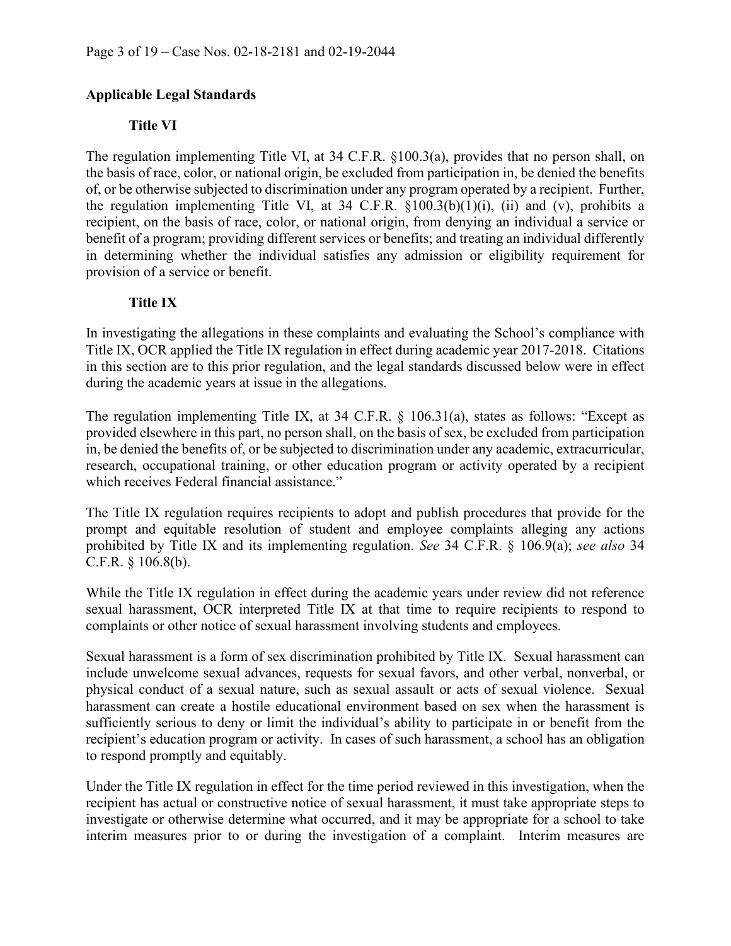## **Applicable Legal Standards**

## **Title VI**

The regulation implementing Title VI, at 34 C.F.R. §100.3(a), provides that no person shall, on the basis of race, color, or national origin, be excluded from participation in, be denied the benefits of, or be otherwise subjected to discrimination under any program operated by a recipient. Further, the regulation implementing Title VI, at 34 C.F.R.  $\S100.3(b)(1)(i)$ , (ii) and (v), prohibits a recipient, on the basis of race, color, or national origin, from denying an individual a service or benefit of a program; providing different services or benefits; and treating an individual differently in determining whether the individual satisfies any admission or eligibility requirement for provision of a service or benefit.

# **Title IX**

In investigating the allegations in these complaints and evaluating the School's compliance with Title IX, OCR applied the Title IX regulation in effect during academic year 2017-2018. Citations in this section are to this prior regulation, and the legal standards discussed below were in effect during the academic years at issue in the allegations.

The regulation implementing Title IX, at 34 C.F.R. § 106.31(a), states as follows: "Except as provided elsewhere in this part, no person shall, on the basis of sex, be excluded from participation in, be denied the benefits of, or be subjected to discrimination under any academic, extracurricular, research, occupational training, or other education program or activity operated by a recipient which receives Federal financial assistance."

The Title IX regulation requires recipients to adopt and publish procedures that provide for the prompt and equitable resolution of student and employee complaints alleging any actions prohibited by Title IX and its implementing regulation. *See* 34 C.F.R. § 106.9(a); *see also* 34 C.F.R. § 106.8(b).

While the Title IX regulation in effect during the academic years under review did not reference sexual harassment, OCR interpreted Title IX at that time to require recipients to respond to complaints or other notice of sexual harassment involving students and employees.

Sexual harassment is a form of sex discrimination prohibited by Title IX. Sexual harassment can include unwelcome sexual advances, requests for sexual favors, and other verbal, nonverbal, or physical conduct of a sexual nature, such as sexual assault or acts of sexual violence. Sexual harassment can create a hostile educational environment based on sex when the harassment is sufficiently serious to deny or limit the individual's ability to participate in or benefit from the recipient's education program or activity. In cases of such harassment, a school has an obligation to respond promptly and equitably.

Under the Title IX regulation in effect for the time period reviewed in this investigation, when the recipient has actual or constructive notice of sexual harassment, it must take appropriate steps to investigate or otherwise determine what occurred, and it may be appropriate for a school to take interim measures prior to or during the investigation of a complaint. Interim measures are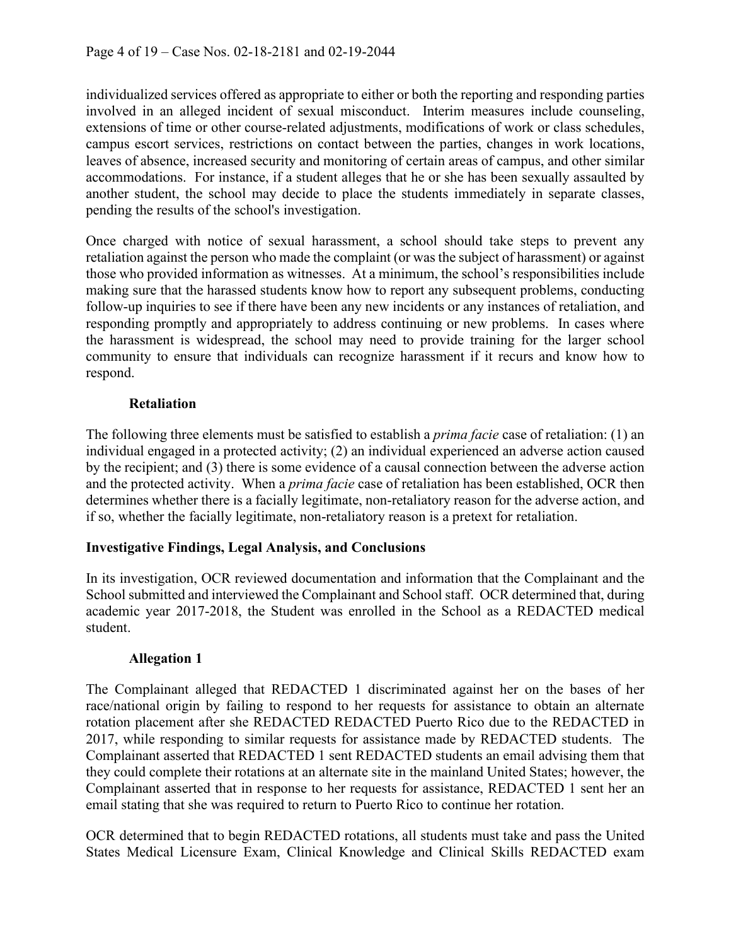individualized services offered as appropriate to either or both the reporting and responding parties involved in an alleged incident of sexual misconduct. Interim measures include counseling, extensions of time or other course-related adjustments, modifications of work or class schedules, campus escort services, restrictions on contact between the parties, changes in work locations, leaves of absence, increased security and monitoring of certain areas of campus, and other similar accommodations. For instance, if a student alleges that he or she has been sexually assaulted by another student, the school may decide to place the students immediately in separate classes, pending the results of the school's investigation.

Once charged with notice of sexual harassment, a school should take steps to prevent any retaliation against the person who made the complaint (or was the subject of harassment) or against those who provided information as witnesses. At a minimum, the school's responsibilities include making sure that the harassed students know how to report any subsequent problems, conducting follow-up inquiries to see if there have been any new incidents or any instances of retaliation, and responding promptly and appropriately to address continuing or new problems. In cases where the harassment is widespread, the school may need to provide training for the larger school community to ensure that individuals can recognize harassment if it recurs and know how to respond.

## **Retaliation**

The following three elements must be satisfied to establish a *prima facie* case of retaliation: (1) an individual engaged in a protected activity; (2) an individual experienced an adverse action caused by the recipient; and (3) there is some evidence of a causal connection between the adverse action and the protected activity. When a *prima facie* case of retaliation has been established, OCR then determines whether there is a facially legitimate, non-retaliatory reason for the adverse action, and if so, whether the facially legitimate, non-retaliatory reason is a pretext for retaliation.

## **Investigative Findings, Legal Analysis, and Conclusions**

In its investigation, OCR reviewed documentation and information that the Complainant and the School submitted and interviewed the Complainant and School staff. OCR determined that, during academic year 2017-2018, the Student was enrolled in the School as a REDACTED medical student.

#### **Allegation 1**

The Complainant alleged that REDACTED 1 discriminated against her on the bases of her race/national origin by failing to respond to her requests for assistance to obtain an alternate rotation placement after she REDACTED REDACTED Puerto Rico due to the REDACTED in 2017, while responding to similar requests for assistance made by REDACTED students. The Complainant asserted that REDACTED 1 sent REDACTED students an email advising them that they could complete their rotations at an alternate site in the mainland United States; however, the Complainant asserted that in response to her requests for assistance, REDACTED 1 sent her an email stating that she was required to return to Puerto Rico to continue her rotation.

OCR determined that to begin REDACTED rotations, all students must take and pass the United States Medical Licensure Exam, Clinical Knowledge and Clinical Skills REDACTED exam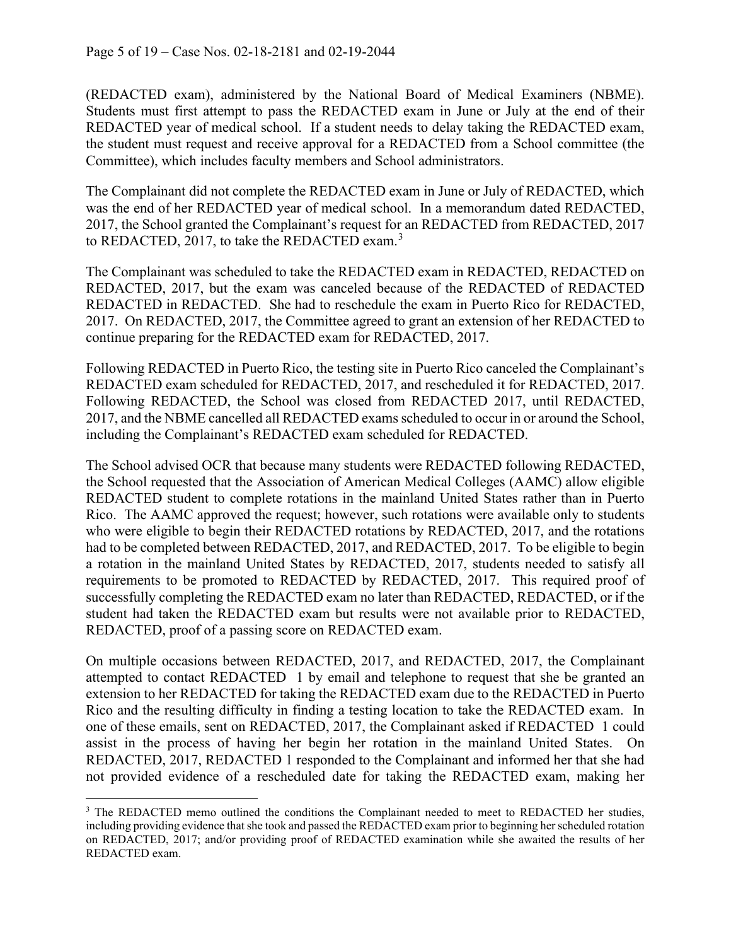(REDACTED exam), administered by the National Board of Medical Examiners (NBME). Students must first attempt to pass the REDACTED exam in June or July at the end of their REDACTED year of medical school. If a student needs to delay taking the REDACTED exam, the student must request and receive approval for a REDACTED from a School committee (the Committee), which includes faculty members and School administrators.

The Complainant did not complete the REDACTED exam in June or July of REDACTED, which was the end of her REDACTED year of medical school. In a memorandum dated REDACTED, 2017, the School granted the Complainant's request for an REDACTED from REDACTED, 2017 to REDACTED, 2017, to take the REDACTED exam.<sup>[3](#page-4-0)</sup>

The Complainant was scheduled to take the REDACTED exam in REDACTED, REDACTED on REDACTED, 2017, but the exam was canceled because of the REDACTED of REDACTED REDACTED in REDACTED. She had to reschedule the exam in Puerto Rico for REDACTED, 2017. On REDACTED, 2017, the Committee agreed to grant an extension of her REDACTED to continue preparing for the REDACTED exam for REDACTED, 2017.

Following REDACTED in Puerto Rico, the testing site in Puerto Rico canceled the Complainant's REDACTED exam scheduled for REDACTED, 2017, and rescheduled it for REDACTED, 2017. Following REDACTED, the School was closed from REDACTED 2017, until REDACTED, 2017, and the NBME cancelled all REDACTED exams scheduled to occur in or around the School, including the Complainant's REDACTED exam scheduled for REDACTED.

The School advised OCR that because many students were REDACTED following REDACTED, the School requested that the Association of American Medical Colleges (AAMC) allow eligible REDACTED student to complete rotations in the mainland United States rather than in Puerto Rico. The AAMC approved the request; however, such rotations were available only to students who were eligible to begin their REDACTED rotations by REDACTED, 2017, and the rotations had to be completed between REDACTED, 2017, and REDACTED, 2017. To be eligible to begin a rotation in the mainland United States by REDACTED, 2017, students needed to satisfy all requirements to be promoted to REDACTED by REDACTED, 2017. This required proof of successfully completing the REDACTED exam no later than REDACTED, REDACTED, or if the student had taken the REDACTED exam but results were not available prior to REDACTED, REDACTED, proof of a passing score on REDACTED exam.

On multiple occasions between REDACTED, 2017, and REDACTED, 2017, the Complainant attempted to contact REDACTED 1 by email and telephone to request that she be granted an extension to her REDACTED for taking the REDACTED exam due to the REDACTED in Puerto Rico and the resulting difficulty in finding a testing location to take the REDACTED exam. In one of these emails, sent on REDACTED, 2017, the Complainant asked if REDACTED 1 could assist in the process of having her begin her rotation in the mainland United States. On REDACTED, 2017, REDACTED 1 responded to the Complainant and informed her that she had not provided evidence of a rescheduled date for taking the REDACTED exam, making her

<span id="page-4-0"></span><sup>&</sup>lt;sup>3</sup> The REDACTED memo outlined the conditions the Complainant needed to meet to REDACTED her studies, including providing evidence that she took and passed the REDACTED exam prior to beginning her scheduled rotation on REDACTED, 2017; and/or providing proof of REDACTED examination while she awaited the results of her REDACTED exam.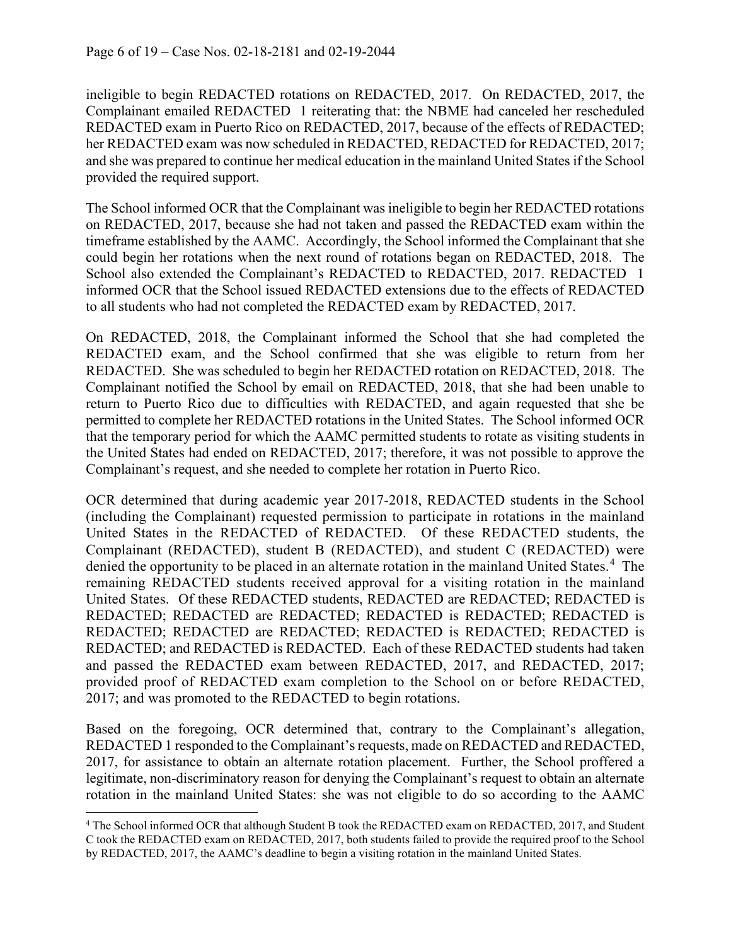ineligible to begin REDACTED rotations on REDACTED, 2017. On REDACTED, 2017, the Complainant emailed REDACTED 1 reiterating that: the NBME had canceled her rescheduled REDACTED exam in Puerto Rico on REDACTED, 2017, because of the effects of REDACTED; her REDACTED exam was now scheduled in REDACTED, REDACTED for REDACTED, 2017; and she was prepared to continue her medical education in the mainland United States if the School provided the required support.

The School informed OCR that the Complainant was ineligible to begin her REDACTED rotations on REDACTED, 2017, because she had not taken and passed the REDACTED exam within the timeframe established by the AAMC. Accordingly, the School informed the Complainant that she could begin her rotations when the next round of rotations began on REDACTED, 2018. The School also extended the Complainant's REDACTED to REDACTED, 2017. REDACTED 1 informed OCR that the School issued REDACTED extensions due to the effects of REDACTED to all students who had not completed the REDACTED exam by REDACTED, 2017.

On REDACTED, 2018, the Complainant informed the School that she had completed the REDACTED exam, and the School confirmed that she was eligible to return from her REDACTED. She was scheduled to begin her REDACTED rotation on REDACTED, 2018. The Complainant notified the School by email on REDACTED, 2018, that she had been unable to return to Puerto Rico due to difficulties with REDACTED, and again requested that she be permitted to complete her REDACTED rotations in the United States. The School informed OCR that the temporary period for which the AAMC permitted students to rotate as visiting students in the United States had ended on REDACTED, 2017; therefore, it was not possible to approve the Complainant's request, and she needed to complete her rotation in Puerto Rico.

OCR determined that during academic year 2017-2018, REDACTED students in the School (including the Complainant) requested permission to participate in rotations in the mainland United States in the REDACTED of REDACTED. Of these REDACTED students, the Complainant (REDACTED), student B (REDACTED), and student C (REDACTED) were denied the opportunity to be placed in an alternate rotation in the mainland United States.<sup>[4](#page-5-0)</sup> The remaining REDACTED students received approval for a visiting rotation in the mainland United States. Of these REDACTED students, REDACTED are REDACTED; REDACTED is REDACTED; REDACTED are REDACTED; REDACTED is REDACTED; REDACTED is REDACTED; REDACTED are REDACTED; REDACTED is REDACTED; REDACTED is REDACTED; and REDACTED is REDACTED. Each of these REDACTED students had taken and passed the REDACTED exam between REDACTED, 2017, and REDACTED, 2017; provided proof of REDACTED exam completion to the School on or before REDACTED, 2017; and was promoted to the REDACTED to begin rotations.

Based on the foregoing, OCR determined that, contrary to the Complainant's allegation, REDACTED 1 responded to the Complainant's requests, made on REDACTED and REDACTED, 2017, for assistance to obtain an alternate rotation placement. Further, the School proffered a legitimate, non-discriminatory reason for denying the Complainant's request to obtain an alternate rotation in the mainland United States: she was not eligible to do so according to the AAMC

<span id="page-5-0"></span><sup>4</sup> The School informed OCR that although Student B took the REDACTED exam on REDACTED, 2017, and Student C took the REDACTED exam on REDACTED, 2017, both students failed to provide the required proof to the School by REDACTED, 2017, the AAMC's deadline to begin a visiting rotation in the mainland United States.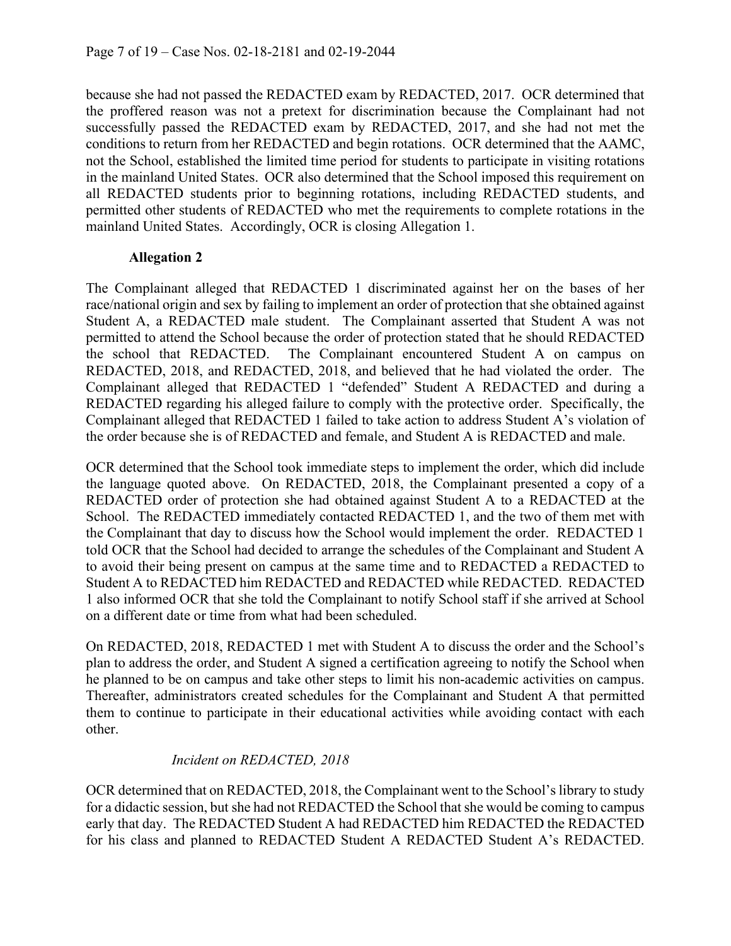because she had not passed the REDACTED exam by REDACTED, 2017. OCR determined that the proffered reason was not a pretext for discrimination because the Complainant had not successfully passed the REDACTED exam by REDACTED, 2017, and she had not met the conditions to return from her REDACTED and begin rotations. OCR determined that the AAMC, not the School, established the limited time period for students to participate in visiting rotations in the mainland United States. OCR also determined that the School imposed this requirement on all REDACTED students prior to beginning rotations, including REDACTED students, and permitted other students of REDACTED who met the requirements to complete rotations in the mainland United States. Accordingly, OCR is closing Allegation 1.

## **Allegation 2**

The Complainant alleged that REDACTED 1 discriminated against her on the bases of her race/national origin and sex by failing to implement an order of protection that she obtained against Student A, a REDACTED male student. The Complainant asserted that Student A was not permitted to attend the School because the order of protection stated that he should REDACTED the school that REDACTED. The Complainant encountered Student A on campus on REDACTED, 2018, and REDACTED, 2018, and believed that he had violated the order. The Complainant alleged that REDACTED 1 "defended" Student A REDACTED and during a REDACTED regarding his alleged failure to comply with the protective order. Specifically, the Complainant alleged that REDACTED 1 failed to take action to address Student A's violation of the order because she is of REDACTED and female, and Student A is REDACTED and male.

OCR determined that the School took immediate steps to implement the order, which did include the language quoted above. On REDACTED, 2018, the Complainant presented a copy of a REDACTED order of protection she had obtained against Student A to a REDACTED at the School. The REDACTED immediately contacted REDACTED 1, and the two of them met with the Complainant that day to discuss how the School would implement the order. REDACTED 1 told OCR that the School had decided to arrange the schedules of the Complainant and Student A to avoid their being present on campus at the same time and to REDACTED a REDACTED to Student A to REDACTED him REDACTED and REDACTED while REDACTED. REDACTED 1 also informed OCR that she told the Complainant to notify School staff if she arrived at School on a different date or time from what had been scheduled.

On REDACTED, 2018, REDACTED 1 met with Student A to discuss the order and the School's plan to address the order, and Student A signed a certification agreeing to notify the School when he planned to be on campus and take other steps to limit his non-academic activities on campus. Thereafter, administrators created schedules for the Complainant and Student A that permitted them to continue to participate in their educational activities while avoiding contact with each other.

## *Incident on REDACTED, 2018*

OCR determined that on REDACTED, 2018, the Complainant went to the School's library to study for a didactic session, but she had not REDACTED the School that she would be coming to campus early that day. The REDACTED Student A had REDACTED him REDACTED the REDACTED for his class and planned to REDACTED Student A REDACTED Student A's REDACTED.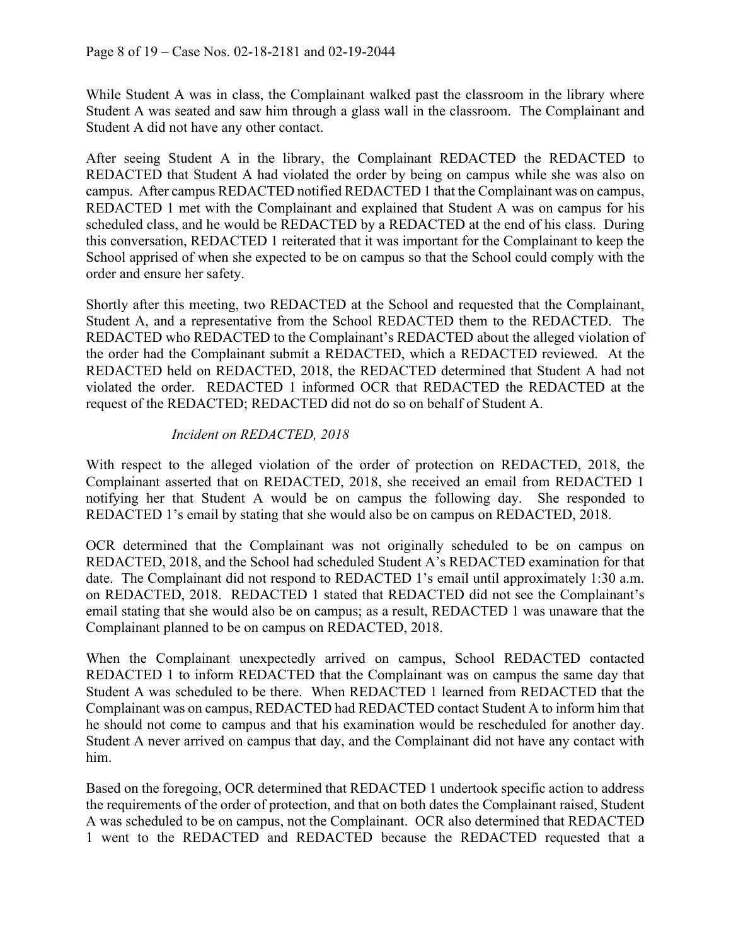While Student A was in class, the Complainant walked past the classroom in the library where Student A was seated and saw him through a glass wall in the classroom. The Complainant and Student A did not have any other contact.

After seeing Student A in the library, the Complainant REDACTED the REDACTED to REDACTED that Student A had violated the order by being on campus while she was also on campus. After campus REDACTED notified REDACTED 1 that the Complainant was on campus, REDACTED 1 met with the Complainant and explained that Student A was on campus for his scheduled class, and he would be REDACTED by a REDACTED at the end of his class. During this conversation, REDACTED 1 reiterated that it was important for the Complainant to keep the School apprised of when she expected to be on campus so that the School could comply with the order and ensure her safety.

Shortly after this meeting, two REDACTED at the School and requested that the Complainant, Student A, and a representative from the School REDACTED them to the REDACTED. The REDACTED who REDACTED to the Complainant's REDACTED about the alleged violation of the order had the Complainant submit a REDACTED, which a REDACTED reviewed. At the REDACTED held on REDACTED, 2018, the REDACTED determined that Student A had not violated the order. REDACTED 1 informed OCR that REDACTED the REDACTED at the request of the REDACTED; REDACTED did not do so on behalf of Student A.

# *Incident on REDACTED, 2018*

With respect to the alleged violation of the order of protection on REDACTED, 2018, the Complainant asserted that on REDACTED, 2018, she received an email from REDACTED 1 notifying her that Student A would be on campus the following day. She responded to REDACTED 1's email by stating that she would also be on campus on REDACTED, 2018.

OCR determined that the Complainant was not originally scheduled to be on campus on REDACTED, 2018, and the School had scheduled Student A's REDACTED examination for that date. The Complainant did not respond to REDACTED 1's email until approximately 1:30 a.m. on REDACTED, 2018. REDACTED 1 stated that REDACTED did not see the Complainant's email stating that she would also be on campus; as a result, REDACTED 1 was unaware that the Complainant planned to be on campus on REDACTED, 2018.

When the Complainant unexpectedly arrived on campus, School REDACTED contacted REDACTED 1 to inform REDACTED that the Complainant was on campus the same day that Student A was scheduled to be there. When REDACTED 1 learned from REDACTED that the Complainant was on campus, REDACTED had REDACTED contact Student A to inform him that he should not come to campus and that his examination would be rescheduled for another day. Student A never arrived on campus that day, and the Complainant did not have any contact with him.

Based on the foregoing, OCR determined that REDACTED 1 undertook specific action to address the requirements of the order of protection, and that on both dates the Complainant raised, Student A was scheduled to be on campus, not the Complainant. OCR also determined that REDACTED 1 went to the REDACTED and REDACTED because the REDACTED requested that a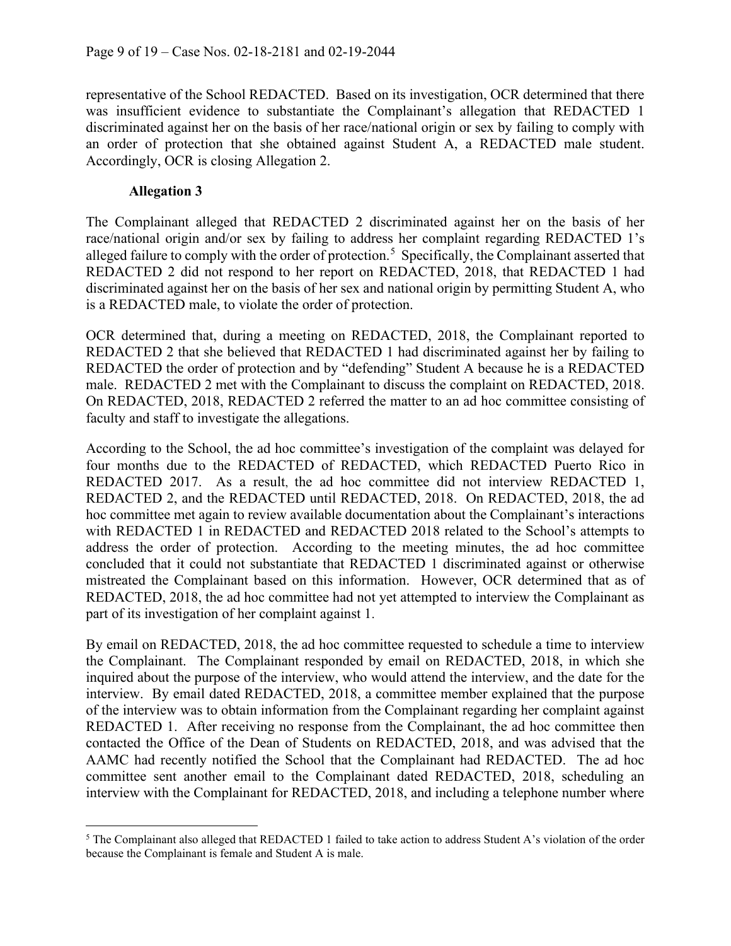representative of the School REDACTED. Based on its investigation, OCR determined that there was insufficient evidence to substantiate the Complainant's allegation that REDACTED 1 discriminated against her on the basis of her race/national origin or sex by failing to comply with an order of protection that she obtained against Student A, a REDACTED male student. Accordingly, OCR is closing Allegation 2.

## **Allegation 3**

The Complainant alleged that REDACTED 2 discriminated against her on the basis of her race/national origin and/or sex by failing to address her complaint regarding REDACTED 1's alleged failure to comply with the order of protection.<sup>[5](#page-8-0)</sup> Specifically, the Complainant asserted that REDACTED 2 did not respond to her report on REDACTED, 2018, that REDACTED 1 had discriminated against her on the basis of her sex and national origin by permitting Student A, who is a REDACTED male, to violate the order of protection.

OCR determined that, during a meeting on REDACTED, 2018, the Complainant reported to REDACTED 2 that she believed that REDACTED 1 had discriminated against her by failing to REDACTED the order of protection and by "defending" Student A because he is a REDACTED male. REDACTED 2 met with the Complainant to discuss the complaint on REDACTED, 2018. On REDACTED, 2018, REDACTED 2 referred the matter to an ad hoc committee consisting of faculty and staff to investigate the allegations.

According to the School, the ad hoc committee's investigation of the complaint was delayed for four months due to the REDACTED of REDACTED, which REDACTED Puerto Rico in REDACTED 2017. As a result, the ad hoc committee did not interview REDACTED 1, REDACTED 2, and the REDACTED until REDACTED, 2018. On REDACTED, 2018, the ad hoc committee met again to review available documentation about the Complainant's interactions with REDACTED 1 in REDACTED and REDACTED 2018 related to the School's attempts to address the order of protection. According to the meeting minutes, the ad hoc committee concluded that it could not substantiate that REDACTED 1 discriminated against or otherwise mistreated the Complainant based on this information. However, OCR determined that as of REDACTED, 2018, the ad hoc committee had not yet attempted to interview the Complainant as part of its investigation of her complaint against 1.

By email on REDACTED, 2018, the ad hoc committee requested to schedule a time to interview the Complainant. The Complainant responded by email on REDACTED, 2018, in which she inquired about the purpose of the interview, who would attend the interview, and the date for the interview. By email dated REDACTED, 2018, a committee member explained that the purpose of the interview was to obtain information from the Complainant regarding her complaint against REDACTED 1. After receiving no response from the Complainant, the ad hoc committee then contacted the Office of the Dean of Students on REDACTED, 2018, and was advised that the AAMC had recently notified the School that the Complainant had REDACTED. The ad hoc committee sent another email to the Complainant dated REDACTED, 2018, scheduling an interview with the Complainant for REDACTED, 2018, and including a telephone number where

<span id="page-8-0"></span><sup>5</sup> The Complainant also alleged that REDACTED 1 failed to take action to address Student A's violation of the order because the Complainant is female and Student A is male.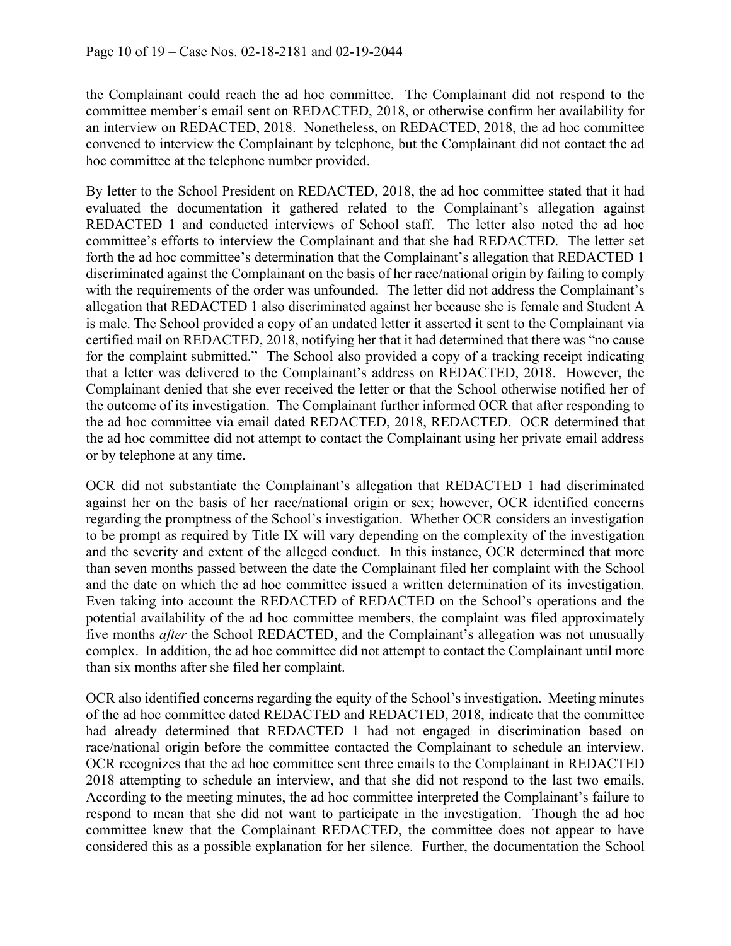the Complainant could reach the ad hoc committee. The Complainant did not respond to the committee member's email sent on REDACTED, 2018, or otherwise confirm her availability for an interview on REDACTED, 2018. Nonetheless, on REDACTED, 2018, the ad hoc committee convened to interview the Complainant by telephone, but the Complainant did not contact the ad hoc committee at the telephone number provided.

By letter to the School President on REDACTED, 2018, the ad hoc committee stated that it had evaluated the documentation it gathered related to the Complainant's allegation against REDACTED 1 and conducted interviews of School staff. The letter also noted the ad hoc committee's efforts to interview the Complainant and that she had REDACTED. The letter set forth the ad hoc committee's determination that the Complainant's allegation that REDACTED 1 discriminated against the Complainant on the basis of her race/national origin by failing to comply with the requirements of the order was unfounded. The letter did not address the Complainant's allegation that REDACTED 1 also discriminated against her because she is female and Student A is male. The School provided a copy of an undated letter it asserted it sent to the Complainant via certified mail on REDACTED, 2018, notifying her that it had determined that there was "no cause for the complaint submitted." The School also provided a copy of a tracking receipt indicating that a letter was delivered to the Complainant's address on REDACTED, 2018. However, the Complainant denied that she ever received the letter or that the School otherwise notified her of the outcome of its investigation. The Complainant further informed OCR that after responding to the ad hoc committee via email dated REDACTED, 2018, REDACTED. OCR determined that the ad hoc committee did not attempt to contact the Complainant using her private email address or by telephone at any time.

OCR did not substantiate the Complainant's allegation that REDACTED 1 had discriminated against her on the basis of her race/national origin or sex; however, OCR identified concerns regarding the promptness of the School's investigation. Whether OCR considers an investigation to be prompt as required by Title IX will vary depending on the complexity of the investigation and the severity and extent of the alleged conduct. In this instance, OCR determined that more than seven months passed between the date the Complainant filed her complaint with the School and the date on which the ad hoc committee issued a written determination of its investigation. Even taking into account the REDACTED of REDACTED on the School's operations and the potential availability of the ad hoc committee members, the complaint was filed approximately five months *after* the School REDACTED, and the Complainant's allegation was not unusually complex. In addition, the ad hoc committee did not attempt to contact the Complainant until more than six months after she filed her complaint.

OCR also identified concerns regarding the equity of the School's investigation. Meeting minutes of the ad hoc committee dated REDACTED and REDACTED, 2018, indicate that the committee had already determined that REDACTED 1 had not engaged in discrimination based on race/national origin before the committee contacted the Complainant to schedule an interview. OCR recognizes that the ad hoc committee sent three emails to the Complainant in REDACTED 2018 attempting to schedule an interview, and that she did not respond to the last two emails. According to the meeting minutes, the ad hoc committee interpreted the Complainant's failure to respond to mean that she did not want to participate in the investigation. Though the ad hoc committee knew that the Complainant REDACTED, the committee does not appear to have considered this as a possible explanation for her silence. Further, the documentation the School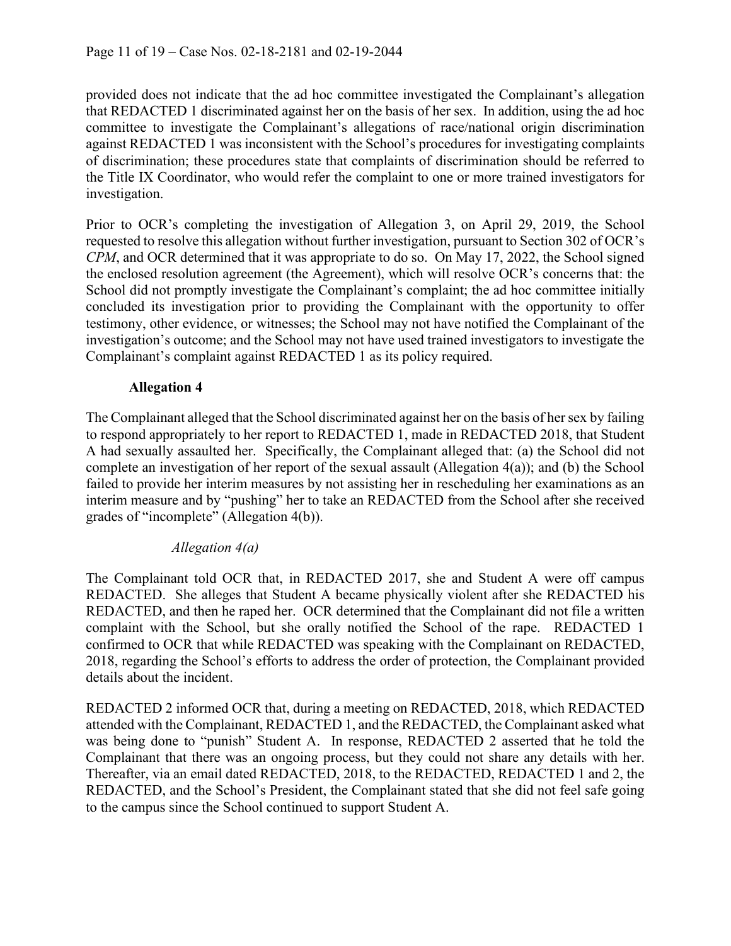provided does not indicate that the ad hoc committee investigated the Complainant's allegation that REDACTED 1 discriminated against her on the basis of her sex. In addition, using the ad hoc committee to investigate the Complainant's allegations of race/national origin discrimination against REDACTED 1 was inconsistent with the School's procedures for investigating complaints of discrimination; these procedures state that complaints of discrimination should be referred to the Title IX Coordinator, who would refer the complaint to one or more trained investigators for investigation.

Prior to OCR's completing the investigation of Allegation 3, on April 29, 2019, the School requested to resolve this allegation without further investigation, pursuant to Section 302 of OCR's *CPM*, and OCR determined that it was appropriate to do so. On May 17, 2022, the School signed the enclosed resolution agreement (the Agreement), which will resolve OCR's concerns that: the School did not promptly investigate the Complainant's complaint; the ad hoc committee initially concluded its investigation prior to providing the Complainant with the opportunity to offer testimony, other evidence, or witnesses; the School may not have notified the Complainant of the investigation's outcome; and the School may not have used trained investigators to investigate the Complainant's complaint against REDACTED 1 as its policy required.

## **Allegation 4**

The Complainant alleged that the School discriminated against her on the basis of her sex by failing to respond appropriately to her report to REDACTED 1, made in REDACTED 2018, that Student A had sexually assaulted her. Specifically, the Complainant alleged that: (a) the School did not complete an investigation of her report of the sexual assault (Allegation 4(a)); and (b) the School failed to provide her interim measures by not assisting her in rescheduling her examinations as an interim measure and by "pushing" her to take an REDACTED from the School after she received grades of "incomplete" (Allegation 4(b)).

## *Allegation 4(a)*

The Complainant told OCR that, in REDACTED 2017, she and Student A were off campus REDACTED. She alleges that Student A became physically violent after she REDACTED his REDACTED, and then he raped her. OCR determined that the Complainant did not file a written complaint with the School, but she orally notified the School of the rape. REDACTED 1 confirmed to OCR that while REDACTED was speaking with the Complainant on REDACTED, 2018, regarding the School's efforts to address the order of protection, the Complainant provided details about the incident.

REDACTED 2 informed OCR that, during a meeting on REDACTED, 2018, which REDACTED attended with the Complainant, REDACTED 1, and the REDACTED, the Complainant asked what was being done to "punish" Student A. In response, REDACTED 2 asserted that he told the Complainant that there was an ongoing process, but they could not share any details with her. Thereafter, via an email dated REDACTED, 2018, to the REDACTED, REDACTED 1 and 2, the REDACTED, and the School's President, the Complainant stated that she did not feel safe going to the campus since the School continued to support Student A.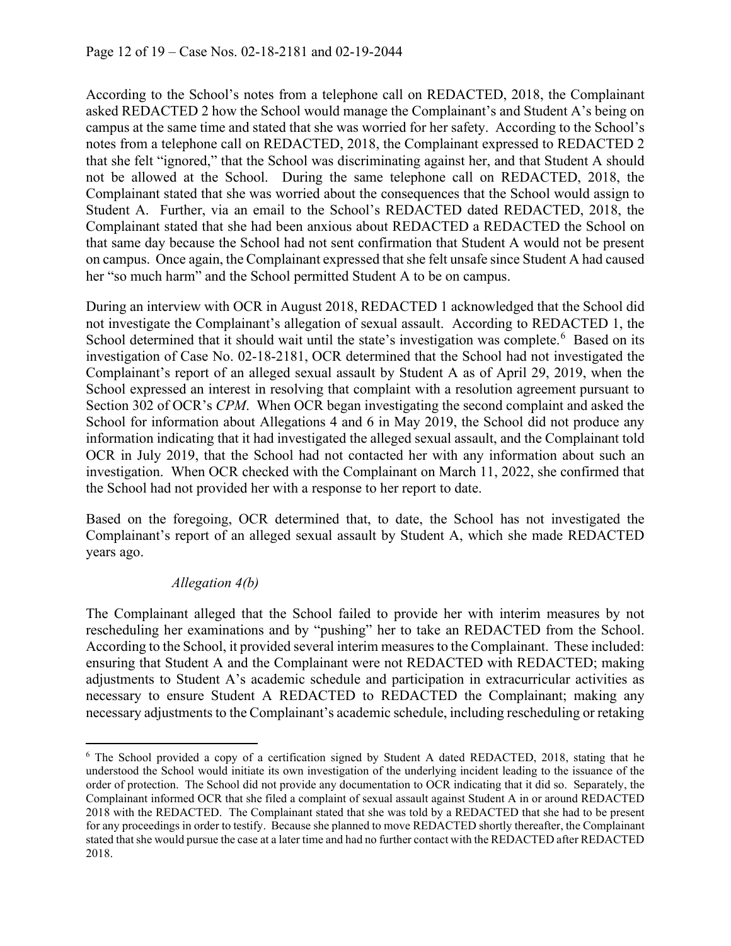According to the School's notes from a telephone call on REDACTED, 2018, the Complainant asked REDACTED 2 how the School would manage the Complainant's and Student A's being on campus at the same time and stated that she was worried for her safety. According to the School's notes from a telephone call on REDACTED, 2018, the Complainant expressed to REDACTED 2 that she felt "ignored," that the School was discriminating against her, and that Student A should not be allowed at the School. During the same telephone call on REDACTED, 2018, the Complainant stated that she was worried about the consequences that the School would assign to Student A. Further, via an email to the School's REDACTED dated REDACTED, 2018, the Complainant stated that she had been anxious about REDACTED a REDACTED the School on that same day because the School had not sent confirmation that Student A would not be present on campus. Once again, the Complainant expressed that she felt unsafe since Student A had caused her "so much harm" and the School permitted Student A to be on campus.

During an interview with OCR in August 2018, REDACTED 1 acknowledged that the School did not investigate the Complainant's allegation of sexual assault. According to REDACTED 1, the School determined that it should wait until the state's investigation was complete.<sup>[6](#page-11-0)</sup> Based on its investigation of Case No. 02-18-2181, OCR determined that the School had not investigated the Complainant's report of an alleged sexual assault by Student A as of April 29, 2019, when the School expressed an interest in resolving that complaint with a resolution agreement pursuant to Section 302 of OCR's *CPM*. When OCR began investigating the second complaint and asked the School for information about Allegations 4 and 6 in May 2019, the School did not produce any information indicating that it had investigated the alleged sexual assault, and the Complainant told OCR in July 2019, that the School had not contacted her with any information about such an investigation. When OCR checked with the Complainant on March 11, 2022, she confirmed that the School had not provided her with a response to her report to date.

Based on the foregoing, OCR determined that, to date, the School has not investigated the Complainant's report of an alleged sexual assault by Student A, which she made REDACTED years ago.

## *Allegation 4(b)*

The Complainant alleged that the School failed to provide her with interim measures by not rescheduling her examinations and by "pushing" her to take an REDACTED from the School. According to the School, it provided several interim measures to the Complainant. These included: ensuring that Student A and the Complainant were not REDACTED with REDACTED; making adjustments to Student A's academic schedule and participation in extracurricular activities as necessary to ensure Student A REDACTED to REDACTED the Complainant; making any necessary adjustments to the Complainant's academic schedule, including rescheduling or retaking

<span id="page-11-0"></span><sup>&</sup>lt;sup>6</sup> The School provided a copy of a certification signed by Student A dated REDACTED, 2018, stating that he understood the School would initiate its own investigation of the underlying incident leading to the issuance of the order of protection. The School did not provide any documentation to OCR indicating that it did so. Separately, the Complainant informed OCR that she filed a complaint of sexual assault against Student A in or around REDACTED 2018 with the REDACTED. The Complainant stated that she was told by a REDACTED that she had to be present for any proceedings in order to testify. Because she planned to move REDACTED shortly thereafter, the Complainant stated that she would pursue the case at a later time and had no further contact with the REDACTED after REDACTED 2018.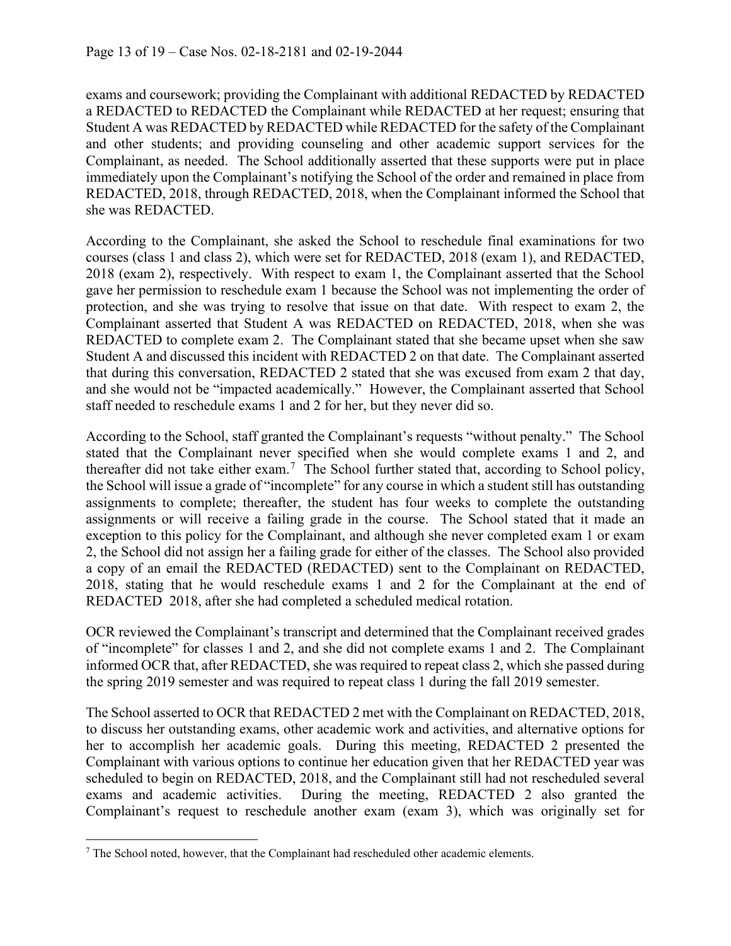exams and coursework; providing the Complainant with additional REDACTED by REDACTED a REDACTED to REDACTED the Complainant while REDACTED at her request; ensuring that Student A was REDACTED by REDACTED while REDACTED for the safety of the Complainant and other students; and providing counseling and other academic support services for the Complainant, as needed. The School additionally asserted that these supports were put in place immediately upon the Complainant's notifying the School of the order and remained in place from REDACTED, 2018, through REDACTED, 2018, when the Complainant informed the School that she was REDACTED.

According to the Complainant, she asked the School to reschedule final examinations for two courses (class 1 and class 2), which were set for REDACTED, 2018 (exam 1), and REDACTED, 2018 (exam 2), respectively. With respect to exam 1, the Complainant asserted that the School gave her permission to reschedule exam 1 because the School was not implementing the order of protection, and she was trying to resolve that issue on that date. With respect to exam 2, the Complainant asserted that Student A was REDACTED on REDACTED, 2018, when she was REDACTED to complete exam 2. The Complainant stated that she became upset when she saw Student A and discussed this incident with REDACTED 2 on that date. The Complainant asserted that during this conversation, REDACTED 2 stated that she was excused from exam 2 that day, and she would not be "impacted academically." However, the Complainant asserted that School staff needed to reschedule exams 1 and 2 for her, but they never did so.

According to the School, staff granted the Complainant's requests "without penalty." The School stated that the Complainant never specified when she would complete exams 1 and 2, and thereafter did not take either exam.<sup>[7](#page-12-0)</sup> The School further stated that, according to School policy, the School will issue a grade of "incomplete" for any course in which a student still has outstanding assignments to complete; thereafter, the student has four weeks to complete the outstanding assignments or will receive a failing grade in the course. The School stated that it made an exception to this policy for the Complainant, and although she never completed exam 1 or exam 2, the School did not assign her a failing grade for either of the classes. The School also provided a copy of an email the REDACTED (REDACTED) sent to the Complainant on REDACTED, 2018, stating that he would reschedule exams 1 and 2 for the Complainant at the end of REDACTED 2018, after she had completed a scheduled medical rotation.

OCR reviewed the Complainant's transcript and determined that the Complainant received grades of "incomplete" for classes 1 and 2, and she did not complete exams 1 and 2. The Complainant informed OCR that, after REDACTED, she was required to repeat class 2, which she passed during the spring 2019 semester and was required to repeat class 1 during the fall 2019 semester.

The School asserted to OCR that REDACTED 2 met with the Complainant on REDACTED, 2018, to discuss her outstanding exams, other academic work and activities, and alternative options for her to accomplish her academic goals. During this meeting, REDACTED 2 presented the Complainant with various options to continue her education given that her REDACTED year was scheduled to begin on REDACTED, 2018, and the Complainant still had not rescheduled several exams and academic activities. During the meeting, REDACTED 2 also granted the Complainant's request to reschedule another exam (exam 3), which was originally set for

<span id="page-12-0"></span><sup>7</sup> The School noted, however, that the Complainant had rescheduled other academic elements.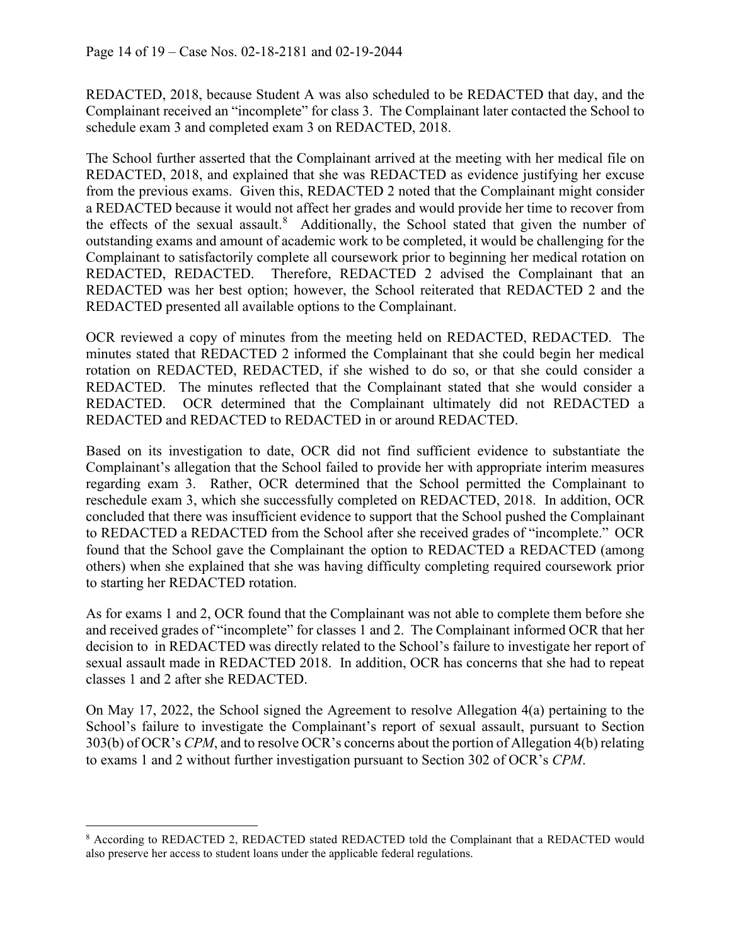REDACTED, 2018, because Student A was also scheduled to be REDACTED that day, and the Complainant received an "incomplete" for class 3. The Complainant later contacted the School to schedule exam 3 and completed exam 3 on REDACTED, 2018.

The School further asserted that the Complainant arrived at the meeting with her medical file on REDACTED, 2018, and explained that she was REDACTED as evidence justifying her excuse from the previous exams. Given this, REDACTED 2 noted that the Complainant might consider a REDACTED because it would not affect her grades and would provide her time to recover from the effects of the sexual assault.<sup>[8](#page-13-0)</sup> Additionally, the School stated that given the number of outstanding exams and amount of academic work to be completed, it would be challenging for the Complainant to satisfactorily complete all coursework prior to beginning her medical rotation on REDACTED, REDACTED. Therefore, REDACTED 2 advised the Complainant that an REDACTED was her best option; however, the School reiterated that REDACTED 2 and the REDACTED presented all available options to the Complainant.

OCR reviewed a copy of minutes from the meeting held on REDACTED, REDACTED. The minutes stated that REDACTED 2 informed the Complainant that she could begin her medical rotation on REDACTED, REDACTED, if she wished to do so, or that she could consider a REDACTED. The minutes reflected that the Complainant stated that she would consider a REDACTED. OCR determined that the Complainant ultimately did not REDACTED a REDACTED and REDACTED to REDACTED in or around REDACTED.

Based on its investigation to date, OCR did not find sufficient evidence to substantiate the Complainant's allegation that the School failed to provide her with appropriate interim measures regarding exam 3. Rather, OCR determined that the School permitted the Complainant to reschedule exam 3, which she successfully completed on REDACTED, 2018. In addition, OCR concluded that there was insufficient evidence to support that the School pushed the Complainant to REDACTED a REDACTED from the School after she received grades of "incomplete." OCR found that the School gave the Complainant the option to REDACTED a REDACTED (among others) when she explained that she was having difficulty completing required coursework prior to starting her REDACTED rotation.

As for exams 1 and 2, OCR found that the Complainant was not able to complete them before she and received grades of "incomplete" for classes 1 and 2. The Complainant informed OCR that her decision to in REDACTED was directly related to the School's failure to investigate her report of sexual assault made in REDACTED 2018. In addition, OCR has concerns that she had to repeat classes 1 and 2 after she REDACTED.

On May 17, 2022, the School signed the Agreement to resolve Allegation 4(a) pertaining to the School's failure to investigate the Complainant's report of sexual assault, pursuant to Section 303(b) of OCR's *CPM*, and to resolve OCR's concerns about the portion of Allegation 4(b) relating to exams 1 and 2 without further investigation pursuant to Section 302 of OCR's *CPM*.

<span id="page-13-0"></span><sup>8</sup> According to REDACTED 2, REDACTED stated REDACTED told the Complainant that a REDACTED would also preserve her access to student loans under the applicable federal regulations.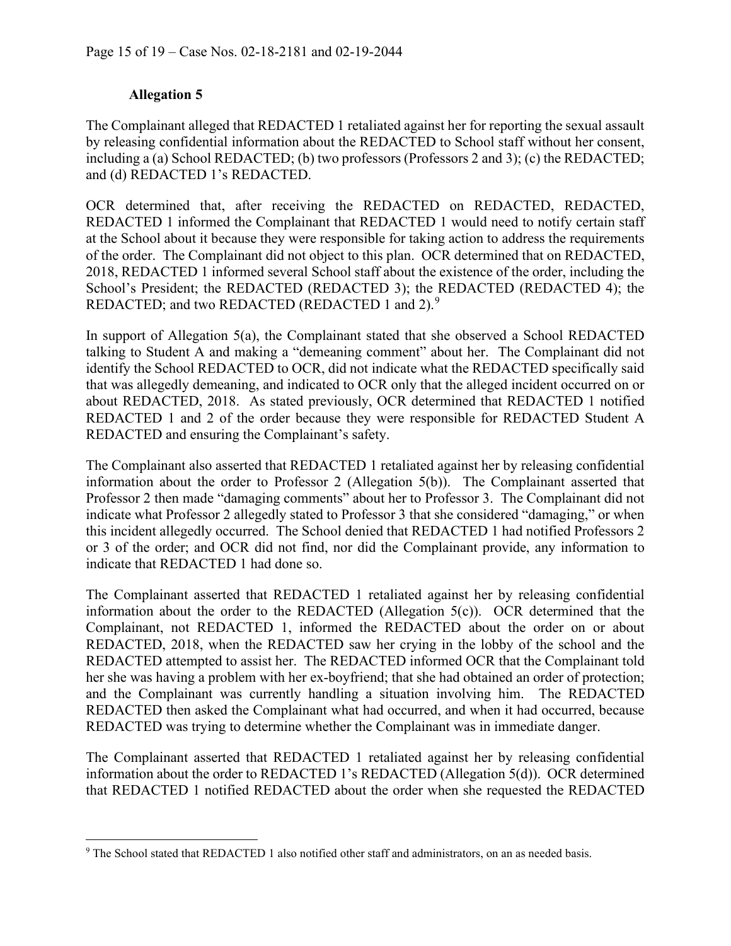## **Allegation 5**

The Complainant alleged that REDACTED 1 retaliated against her for reporting the sexual assault by releasing confidential information about the REDACTED to School staff without her consent, including a (a) School REDACTED; (b) two professors (Professors 2 and 3); (c) the REDACTED; and (d) REDACTED 1's REDACTED.

OCR determined that, after receiving the REDACTED on REDACTED, REDACTED, REDACTED 1 informed the Complainant that REDACTED 1 would need to notify certain staff at the School about it because they were responsible for taking action to address the requirements of the order. The Complainant did not object to this plan. OCR determined that on REDACTED, 2018, REDACTED 1 informed several School staff about the existence of the order, including the School's President; the REDACTED (REDACTED 3); the REDACTED (REDACTED 4); the REDACTED; and two REDACTED (REDACTED 1 and 2).<sup>[9](#page-14-0)</sup>

In support of Allegation 5(a), the Complainant stated that she observed a School REDACTED talking to Student A and making a "demeaning comment" about her. The Complainant did not identify the School REDACTED to OCR, did not indicate what the REDACTED specifically said that was allegedly demeaning, and indicated to OCR only that the alleged incident occurred on or about REDACTED, 2018. As stated previously, OCR determined that REDACTED 1 notified REDACTED 1 and 2 of the order because they were responsible for REDACTED Student A REDACTED and ensuring the Complainant's safety.

The Complainant also asserted that REDACTED 1 retaliated against her by releasing confidential information about the order to Professor 2 (Allegation 5(b)). The Complainant asserted that Professor 2 then made "damaging comments" about her to Professor 3. The Complainant did not indicate what Professor 2 allegedly stated to Professor 3 that she considered "damaging," or when this incident allegedly occurred. The School denied that REDACTED 1 had notified Professors 2 or 3 of the order; and OCR did not find, nor did the Complainant provide, any information to indicate that REDACTED 1 had done so.

The Complainant asserted that REDACTED 1 retaliated against her by releasing confidential information about the order to the REDACTED (Allegation 5(c)). OCR determined that the Complainant, not REDACTED 1, informed the REDACTED about the order on or about REDACTED, 2018, when the REDACTED saw her crying in the lobby of the school and the REDACTED attempted to assist her. The REDACTED informed OCR that the Complainant told her she was having a problem with her ex-boyfriend; that she had obtained an order of protection; and the Complainant was currently handling a situation involving him. The REDACTED REDACTED then asked the Complainant what had occurred, and when it had occurred, because REDACTED was trying to determine whether the Complainant was in immediate danger.

The Complainant asserted that REDACTED 1 retaliated against her by releasing confidential information about the order to REDACTED 1's REDACTED (Allegation 5(d)). OCR determined that REDACTED 1 notified REDACTED about the order when she requested the REDACTED

<span id="page-14-0"></span><sup>9</sup> The School stated that REDACTED 1 also notified other staff and administrators, on an as needed basis.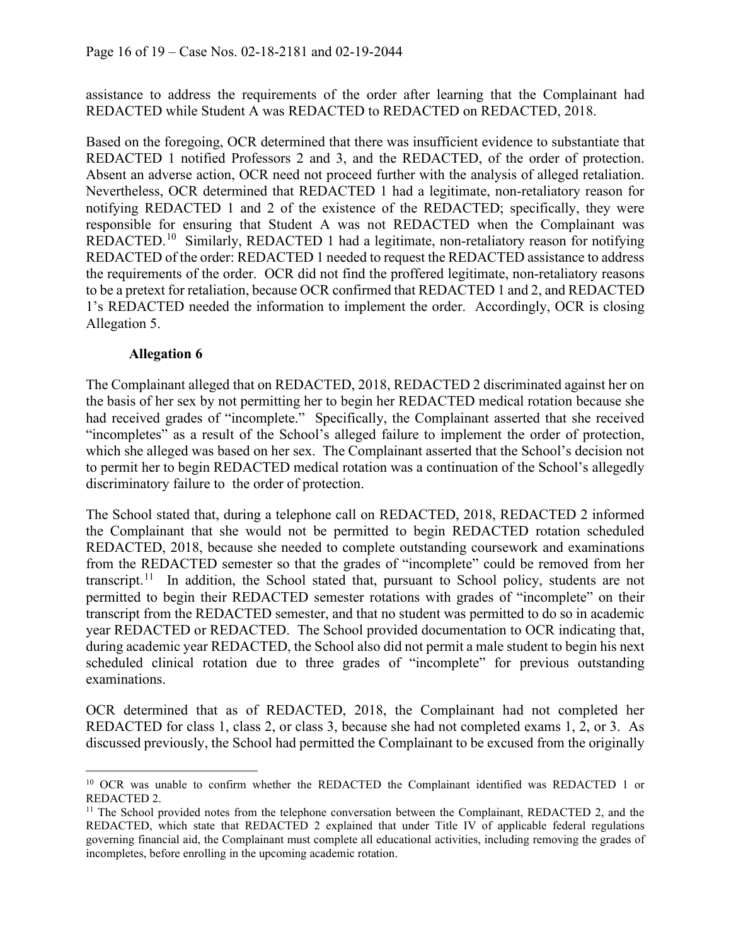assistance to address the requirements of the order after learning that the Complainant had REDACTED while Student A was REDACTED to REDACTED on REDACTED, 2018.

Based on the foregoing, OCR determined that there was insufficient evidence to substantiate that REDACTED 1 notified Professors 2 and 3, and the REDACTED, of the order of protection. Absent an adverse action, OCR need not proceed further with the analysis of alleged retaliation. Nevertheless, OCR determined that REDACTED 1 had a legitimate, non-retaliatory reason for notifying REDACTED 1 and 2 of the existence of the REDACTED; specifically, they were responsible for ensuring that Student A was not REDACTED when the Complainant was REDACTED.<sup>10</sup> Similarly, REDACTED 1 had a legitimate, non-retaliatory reason for notifying REDACTED of the order: REDACTED 1 needed to request the REDACTED assistance to address the requirements of the order. OCR did not find the proffered legitimate, non-retaliatory reasons to be a pretext for retaliation, because OCR confirmed that REDACTED 1 and 2, and REDACTED 1's REDACTED needed the information to implement the order. Accordingly, OCR is closing Allegation 5.

## **Allegation 6**

The Complainant alleged that on REDACTED, 2018, REDACTED 2 discriminated against her on the basis of her sex by not permitting her to begin her REDACTED medical rotation because she had received grades of "incomplete." Specifically, the Complainant asserted that she received "incompletes" as a result of the School's alleged failure to implement the order of protection, which she alleged was based on her sex. The Complainant asserted that the School's decision not to permit her to begin REDACTED medical rotation was a continuation of the School's allegedly discriminatory failure to the order of protection.

The School stated that, during a telephone call on REDACTED, 2018, REDACTED 2 informed the Complainant that she would not be permitted to begin REDACTED rotation scheduled REDACTED, 2018, because she needed to complete outstanding coursework and examinations from the REDACTED semester so that the grades of "incomplete" could be removed from her transcript.<sup>[11](#page-15-1)</sup> In addition, the School stated that, pursuant to School policy, students are not permitted to begin their REDACTED semester rotations with grades of "incomplete" on their transcript from the REDACTED semester, and that no student was permitted to do so in academic year REDACTED or REDACTED. The School provided documentation to OCR indicating that, during academic year REDACTED, the School also did not permit a male student to begin his next scheduled clinical rotation due to three grades of "incomplete" for previous outstanding examinations.

OCR determined that as of REDACTED, 2018, the Complainant had not completed her REDACTED for class 1, class 2, or class 3, because she had not completed exams 1, 2, or 3. As discussed previously, the School had permitted the Complainant to be excused from the originally

<span id="page-15-0"></span><sup>&</sup>lt;sup>10</sup> OCR was unable to confirm whether the REDACTED the Complainant identified was REDACTED 1 or REDACTED 2.

<span id="page-15-1"></span> $11$  The School provided notes from the telephone conversation between the Complainant, REDACTED 2, and the REDACTED, which state that REDACTED 2 explained that under Title IV of applicable federal regulations governing financial aid, the Complainant must complete all educational activities, including removing the grades of incompletes, before enrolling in the upcoming academic rotation.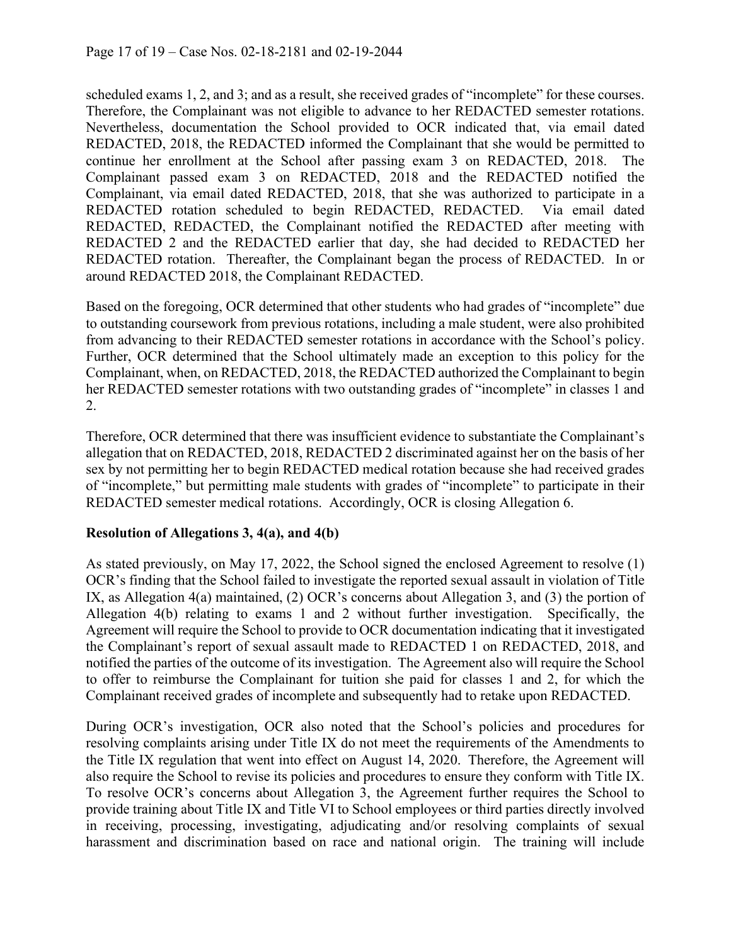scheduled exams 1, 2, and 3; and as a result, she received grades of "incomplete" for these courses. Therefore, the Complainant was not eligible to advance to her REDACTED semester rotations. Nevertheless, documentation the School provided to OCR indicated that, via email dated REDACTED, 2018, the REDACTED informed the Complainant that she would be permitted to continue her enrollment at the School after passing exam 3 on REDACTED, 2018. The Complainant passed exam 3 on REDACTED, 2018 and the REDACTED notified the Complainant, via email dated REDACTED, 2018, that she was authorized to participate in a REDACTED rotation scheduled to begin REDACTED, REDACTED. Via email dated REDACTED, REDACTED, the Complainant notified the REDACTED after meeting with REDACTED 2 and the REDACTED earlier that day, she had decided to REDACTED her REDACTED rotation. Thereafter, the Complainant began the process of REDACTED. In or around REDACTED 2018, the Complainant REDACTED.

Based on the foregoing, OCR determined that other students who had grades of "incomplete" due to outstanding coursework from previous rotations, including a male student, were also prohibited from advancing to their REDACTED semester rotations in accordance with the School's policy. Further, OCR determined that the School ultimately made an exception to this policy for the Complainant, when, on REDACTED, 2018, the REDACTED authorized the Complainant to begin her REDACTED semester rotations with two outstanding grades of "incomplete" in classes 1 and 2.

Therefore, OCR determined that there was insufficient evidence to substantiate the Complainant's allegation that on REDACTED, 2018, REDACTED 2 discriminated against her on the basis of her sex by not permitting her to begin REDACTED medical rotation because she had received grades of "incomplete," but permitting male students with grades of "incomplete" to participate in their REDACTED semester medical rotations. Accordingly, OCR is closing Allegation 6.

## **Resolution of Allegations 3, 4(a), and 4(b)**

As stated previously, on May 17, 2022, the School signed the enclosed Agreement to resolve (1) OCR's finding that the School failed to investigate the reported sexual assault in violation of Title IX, as Allegation 4(a) maintained, (2) OCR's concerns about Allegation 3, and (3) the portion of Allegation 4(b) relating to exams 1 and 2 without further investigation. Specifically, the Agreement will require the School to provide to OCR documentation indicating that it investigated the Complainant's report of sexual assault made to REDACTED 1 on REDACTED, 2018, and notified the parties of the outcome of its investigation. The Agreement also will require the School to offer to reimburse the Complainant for tuition she paid for classes 1 and 2, for which the Complainant received grades of incomplete and subsequently had to retake upon REDACTED.

During OCR's investigation, OCR also noted that the School's policies and procedures for resolving complaints arising under Title IX do not meet the requirements of the Amendments to the Title IX regulation that went into effect on August 14, 2020. Therefore, the Agreement will also require the School to revise its policies and procedures to ensure they conform with Title IX. To resolve OCR's concerns about Allegation 3, the Agreement further requires the School to provide training about Title IX and Title VI to School employees or third parties directly involved in receiving, processing, investigating, adjudicating and/or resolving complaints of sexual harassment and discrimination based on race and national origin. The training will include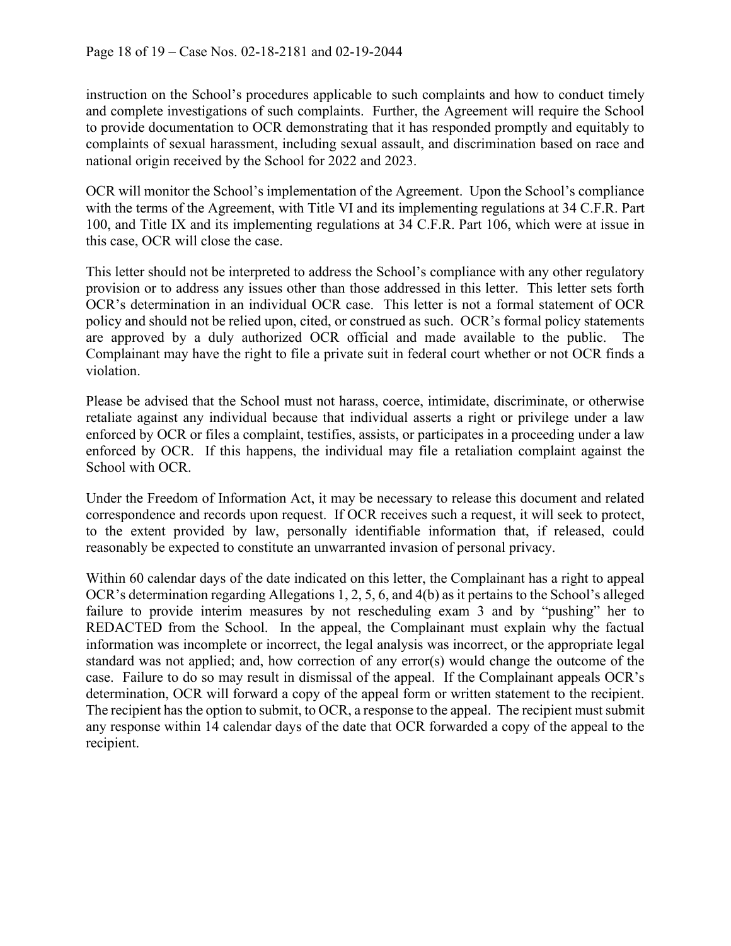instruction on the School's procedures applicable to such complaints and how to conduct timely and complete investigations of such complaints. Further, the Agreement will require the School to provide documentation to OCR demonstrating that it has responded promptly and equitably to complaints of sexual harassment, including sexual assault, and discrimination based on race and national origin received by the School for 2022 and 2023.

OCR will monitor the School's implementation of the Agreement. Upon the School's compliance with the terms of the Agreement, with Title VI and its implementing regulations at 34 C.F.R. Part 100, and Title IX and its implementing regulations at 34 C.F.R. Part 106, which were at issue in this case, OCR will close the case.

This letter should not be interpreted to address the School's compliance with any other regulatory provision or to address any issues other than those addressed in this letter. This letter sets forth OCR's determination in an individual OCR case. This letter is not a formal statement of OCR policy and should not be relied upon, cited, or construed as such. OCR's formal policy statements are approved by a duly authorized OCR official and made available to the public. The Complainant may have the right to file a private suit in federal court whether or not OCR finds a violation.

Please be advised that the School must not harass, coerce, intimidate, discriminate, or otherwise retaliate against any individual because that individual asserts a right or privilege under a law enforced by OCR or files a complaint, testifies, assists, or participates in a proceeding under a law enforced by OCR. If this happens, the individual may file a retaliation complaint against the School with OCR.

Under the Freedom of Information Act, it may be necessary to release this document and related correspondence and records upon request. If OCR receives such a request, it will seek to protect, to the extent provided by law, personally identifiable information that, if released, could reasonably be expected to constitute an unwarranted invasion of personal privacy.

Within 60 calendar days of the date indicated on this letter, the Complainant has a right to appeal OCR's determination regarding Allegations 1, 2, 5, 6, and 4(b) as it pertains to the School's alleged failure to provide interim measures by not rescheduling exam 3 and by "pushing" her to REDACTED from the School. In the appeal, the Complainant must explain why the factual information was incomplete or incorrect, the legal analysis was incorrect, or the appropriate legal standard was not applied; and, how correction of any error(s) would change the outcome of the case. Failure to do so may result in dismissal of the appeal. If the Complainant appeals OCR's determination, OCR will forward a copy of the appeal form or written statement to the recipient. The recipient has the option to submit, to OCR, a response to the appeal. The recipient must submit any response within 14 calendar days of the date that OCR forwarded a copy of the appeal to the recipient.